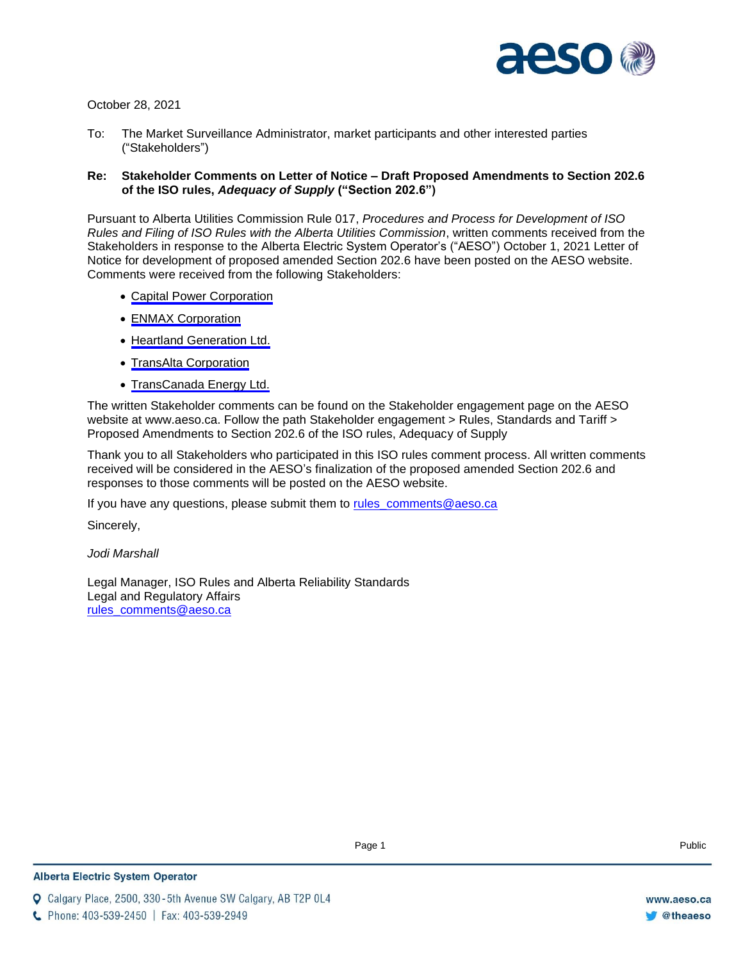

October 28, 2021

To: The Market Surveillance Administrator, market participants and other interested parties ("Stakeholders")

### **Re: Stakeholder Comments on Letter of Notice – Draft Proposed Amendments to Section 202.6 of the ISO rules,** *Adequacy of Supply* **("Section 202.6")**

Pursuant to Alberta Utilities Commission Rule 017, *Procedures and Process for Development of ISO Rules and Filing of ISO Rules with the Alberta Utilities Commission*, written comments received from the Stakeholders in response to the Alberta Electric System Operator's ("AESO") October 1, 2021 Letter of Notice for development of proposed amended Section 202.6 have been posted on the AESO website. Comments were received from the following Stakeholders:

- [Capital Power Corporation](#page-1-0)
- [ENMAX Corporation](#page-4-0)
- [Heartland Generation Ltd.](#page-6-0)
- [TransAlta Corporation](#page-8-0)
- [TransCanada Energy Ltd.](#page-12-0)

The written Stakeholder comments can be found on the Stakeholder engagement page on the AESO website at www.aeso.ca. Follow the path Stakeholder engagement > Rules, Standards and Tariff > Proposed Amendments to Section 202.6 of the ISO rules, Adequacy of Supply

Thank you to all Stakeholders who participated in this ISO rules comment process. All written comments received will be considered in the AESO's finalization of the proposed amended Section 202.6 and responses to those comments will be posted on the AESO website.

If you have any questions, please submit them to [rules\\_comments@aeso.ca](mailto:rules_comments@aeso.ca)

Sincerely,

#### *Jodi Marshall*

Legal Manager, ISO Rules and Alberta Reliability Standards Legal and Regulatory Affairs [rules\\_comments@aeso.ca](mailto:rules_comments@aeso.ca)

**Q** Calgary Place, 2500, 330-5th Avenue SW Calgary, AB T2P 0L4

C Phone: 403-539-2450 | Fax: 403-539-2949

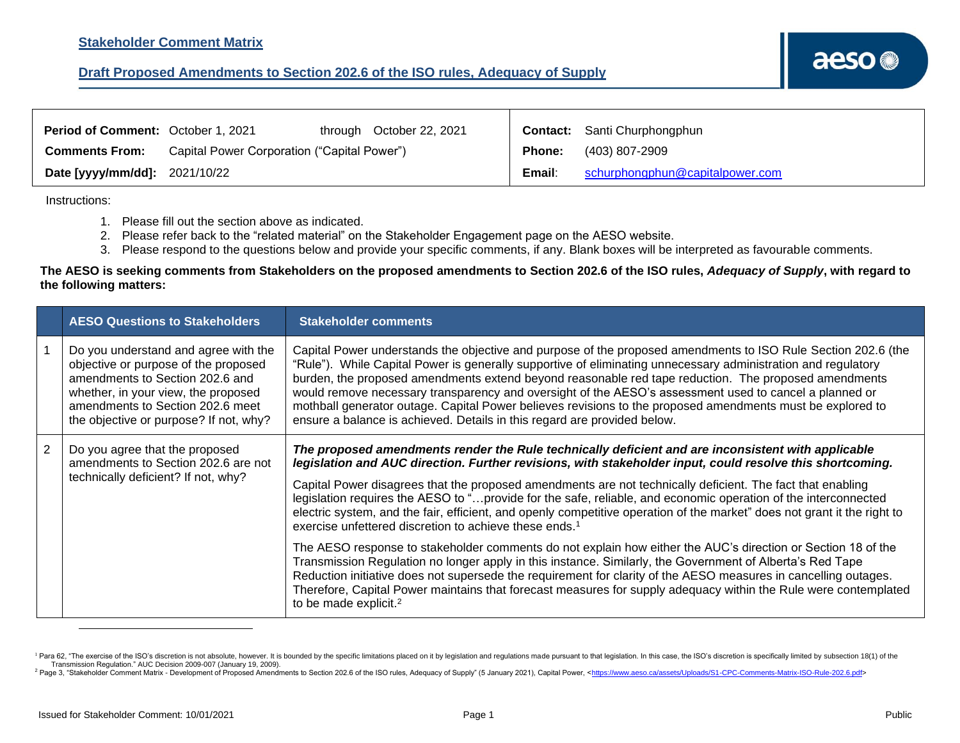<span id="page-1-0"></span>

| <b>Period of Comment: October 1, 2021</b> |                                             | through October 22, 2021 |        | <b>Contact:</b> Santi Churphongphun |
|-------------------------------------------|---------------------------------------------|--------------------------|--------|-------------------------------------|
| <b>Comments From:</b>                     | Capital Power Corporation ("Capital Power") |                          | Phone: | (403) 807-2909                      |
| Date [yyyy/mm/dd]: 2021/10/22             |                                             |                          | Email: | schurphongphun@capitalpower.com     |

#### Instructions:

- 1. Please fill out the section above as indicated.
- 2. Please refer back to the "related material" on the Stakeholder Engagement page on the AESO website.
- 3. Please respond to the questions below and provide your specific comments, if any. Blank boxes will be interpreted as favourable comments.

|   | <b>AESO Questions to Stakeholders</b>                                                                                                                                                                                                | <b>Stakeholder comments</b>                                                                                                                                                                                                                                                                                                                                                                                                                                                                                                                                                                                                                                                                                                                                                                                                                                                                                                                                                                       |
|---|--------------------------------------------------------------------------------------------------------------------------------------------------------------------------------------------------------------------------------------|---------------------------------------------------------------------------------------------------------------------------------------------------------------------------------------------------------------------------------------------------------------------------------------------------------------------------------------------------------------------------------------------------------------------------------------------------------------------------------------------------------------------------------------------------------------------------------------------------------------------------------------------------------------------------------------------------------------------------------------------------------------------------------------------------------------------------------------------------------------------------------------------------------------------------------------------------------------------------------------------------|
|   | Do you understand and agree with the<br>objective or purpose of the proposed<br>amendments to Section 202.6 and<br>whether, in your view, the proposed<br>amendments to Section 202.6 meet<br>the objective or purpose? If not, why? | Capital Power understands the objective and purpose of the proposed amendments to ISO Rule Section 202.6 (the<br>"Rule"). While Capital Power is generally supportive of eliminating unnecessary administration and regulatory<br>burden, the proposed amendments extend beyond reasonable red tape reduction. The proposed amendments<br>would remove necessary transparency and oversight of the AESO's assessment used to cancel a planned or<br>mothball generator outage. Capital Power believes revisions to the proposed amendments must be explored to<br>ensure a balance is achieved. Details in this regard are provided below.                                                                                                                                                                                                                                                                                                                                                        |
| 2 | Do you agree that the proposed<br>amendments to Section 202.6 are not<br>technically deficient? If not, why?                                                                                                                         | The proposed amendments render the Rule technically deficient and are inconsistent with applicable<br>legislation and AUC direction. Further revisions, with stakeholder input, could resolve this shortcoming.<br>Capital Power disagrees that the proposed amendments are not technically deficient. The fact that enabling<br>legislation requires the AESO to "provide for the safe, reliable, and economic operation of the interconnected<br>electric system, and the fair, efficient, and openly competitive operation of the market" does not grant it the right to<br>exercise unfettered discretion to achieve these ends. <sup>1</sup><br>The AESO response to stakeholder comments do not explain how either the AUC's direction or Section 18 of the<br>Transmission Regulation no longer apply in this instance. Similarly, the Government of Alberta's Red Tape<br>Reduction initiative does not supersede the requirement for clarity of the AESO measures in cancelling outages. |
|   |                                                                                                                                                                                                                                      | Therefore, Capital Power maintains that forecast measures for supply adequacy within the Rule were contemplated<br>to be made explicit. <sup>2</sup>                                                                                                                                                                                                                                                                                                                                                                                                                                                                                                                                                                                                                                                                                                                                                                                                                                              |

<sup>&</sup>lt;sup>1</sup> Para 62, "The exercise of the ISO's discretion is not absolute, however. It is bounded by the specific limitations placed on it by legislation and regulations made pursuant to that legislation. In this case, the ISO's Transmission Regulation." AUC Decision 2009-007 (January 19, 2009).

<sup>&</sup>lt;sup>2</sup> Page 3, "Stakeholder Comment Matrix - Development of Proposed Amendments to Section 202.6 of the ISO rules, Adequacy of Supply" (5 January 2021), Capital Power, <https://www.aeso.ca/assets/Uploads/S1-CPC-Comments-Matri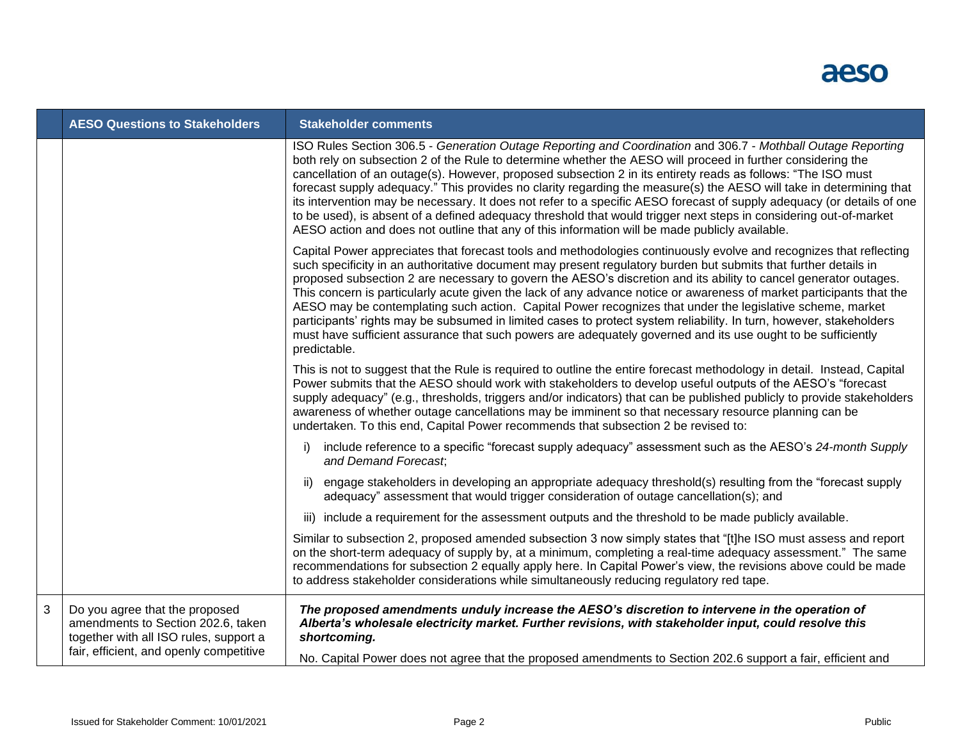

|   | <b>AESO Questions to Stakeholders</b>                                                                                                                     | <b>Stakeholder comments</b>                                                                                                                                                                                                                                                                                                                                                                                                                                                                                                                                                                                                                                                                                                                                                                                                                           |
|---|-----------------------------------------------------------------------------------------------------------------------------------------------------------|-------------------------------------------------------------------------------------------------------------------------------------------------------------------------------------------------------------------------------------------------------------------------------------------------------------------------------------------------------------------------------------------------------------------------------------------------------------------------------------------------------------------------------------------------------------------------------------------------------------------------------------------------------------------------------------------------------------------------------------------------------------------------------------------------------------------------------------------------------|
|   |                                                                                                                                                           | ISO Rules Section 306.5 - Generation Outage Reporting and Coordination and 306.7 - Mothball Outage Reporting<br>both rely on subsection 2 of the Rule to determine whether the AESO will proceed in further considering the<br>cancellation of an outage(s). However, proposed subsection 2 in its entirety reads as follows: "The ISO must<br>forecast supply adequacy." This provides no clarity regarding the measure(s) the AESO will take in determining that<br>its intervention may be necessary. It does not refer to a specific AESO forecast of supply adequacy (or details of one<br>to be used), is absent of a defined adequacy threshold that would trigger next steps in considering out-of-market<br>AESO action and does not outline that any of this information will be made publicly available.                                   |
|   |                                                                                                                                                           | Capital Power appreciates that forecast tools and methodologies continuously evolve and recognizes that reflecting<br>such specificity in an authoritative document may present regulatory burden but submits that further details in<br>proposed subsection 2 are necessary to govern the AESO's discretion and its ability to cancel generator outages.<br>This concern is particularly acute given the lack of any advance notice or awareness of market participants that the<br>AESO may be contemplating such action. Capital Power recognizes that under the legislative scheme, market<br>participants' rights may be subsumed in limited cases to protect system reliability. In turn, however, stakeholders<br>must have sufficient assurance that such powers are adequately governed and its use ought to be sufficiently<br>predictable. |
|   |                                                                                                                                                           | This is not to suggest that the Rule is required to outline the entire forecast methodology in detail. Instead, Capital<br>Power submits that the AESO should work with stakeholders to develop useful outputs of the AESO's "forecast<br>supply adequacy" (e.g., thresholds, triggers and/or indicators) that can be published publicly to provide stakeholders<br>awareness of whether outage cancellations may be imminent so that necessary resource planning can be<br>undertaken. To this end, Capital Power recommends that subsection 2 be revised to:                                                                                                                                                                                                                                                                                        |
|   |                                                                                                                                                           | include reference to a specific "forecast supply adequacy" assessment such as the AESO's 24-month Supply<br>i)<br>and Demand Forecast,                                                                                                                                                                                                                                                                                                                                                                                                                                                                                                                                                                                                                                                                                                                |
|   |                                                                                                                                                           | engage stakeholders in developing an appropriate adequacy threshold(s) resulting from the "forecast supply<br>ii)<br>adequacy" assessment that would trigger consideration of outage cancellation(s); and                                                                                                                                                                                                                                                                                                                                                                                                                                                                                                                                                                                                                                             |
|   |                                                                                                                                                           | iii) include a requirement for the assessment outputs and the threshold to be made publicly available.                                                                                                                                                                                                                                                                                                                                                                                                                                                                                                                                                                                                                                                                                                                                                |
|   |                                                                                                                                                           | Similar to subsection 2, proposed amended subsection 3 now simply states that "[t]he ISO must assess and report<br>on the short-term adequacy of supply by, at a minimum, completing a real-time adequacy assessment." The same<br>recommendations for subsection 2 equally apply here. In Capital Power's view, the revisions above could be made<br>to address stakeholder considerations while simultaneously reducing regulatory red tape.                                                                                                                                                                                                                                                                                                                                                                                                        |
| 3 | Do you agree that the proposed<br>amendments to Section 202.6, taken<br>together with all ISO rules, support a<br>fair, efficient, and openly competitive | The proposed amendments unduly increase the AESO's discretion to intervene in the operation of<br>Alberta's wholesale electricity market. Further revisions, with stakeholder input, could resolve this<br>shortcoming.                                                                                                                                                                                                                                                                                                                                                                                                                                                                                                                                                                                                                               |
|   |                                                                                                                                                           | No. Capital Power does not agree that the proposed amendments to Section 202.6 support a fair, efficient and                                                                                                                                                                                                                                                                                                                                                                                                                                                                                                                                                                                                                                                                                                                                          |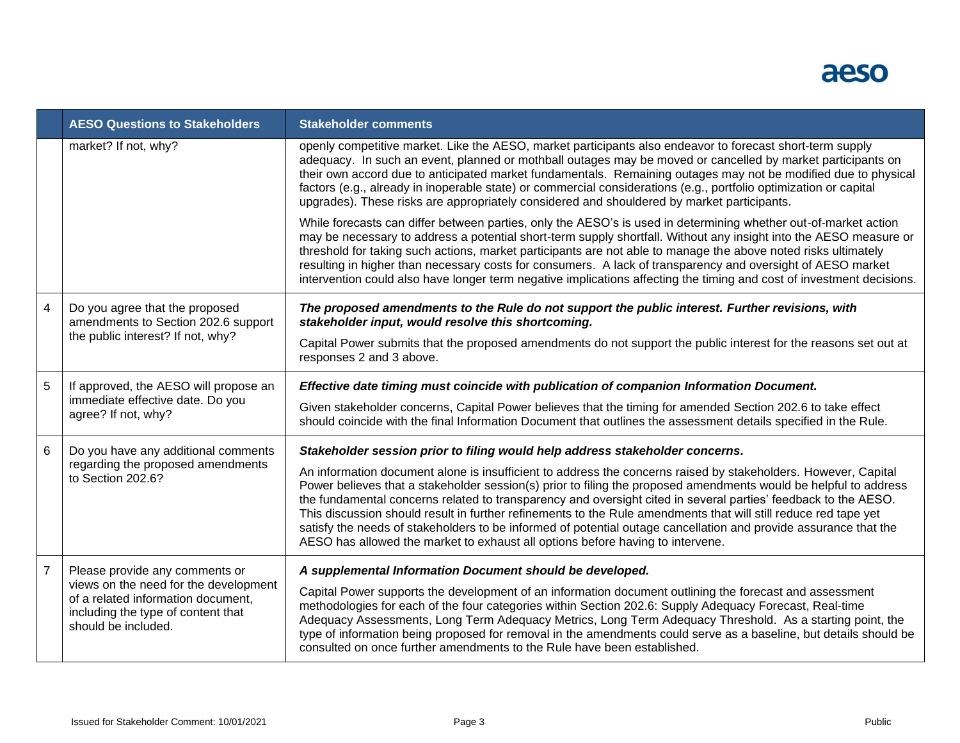

|                | <b>AESO Questions to Stakeholders</b>                                                                                                    | <b>Stakeholder comments</b>                                                                                                                                                                                                                                                                                                                                                                                                                                                                                                                                                                                                                                                   |
|----------------|------------------------------------------------------------------------------------------------------------------------------------------|-------------------------------------------------------------------------------------------------------------------------------------------------------------------------------------------------------------------------------------------------------------------------------------------------------------------------------------------------------------------------------------------------------------------------------------------------------------------------------------------------------------------------------------------------------------------------------------------------------------------------------------------------------------------------------|
|                | market? If not, why?                                                                                                                     | openly competitive market. Like the AESO, market participants also endeavor to forecast short-term supply<br>adequacy. In such an event, planned or mothball outages may be moved or cancelled by market participants on<br>their own accord due to anticipated market fundamentals. Remaining outages may not be modified due to physical<br>factors (e.g., already in inoperable state) or commercial considerations (e.g., portfolio optimization or capital<br>upgrades). These risks are appropriately considered and shouldered by market participants.                                                                                                                 |
|                |                                                                                                                                          | While forecasts can differ between parties, only the AESO's is used in determining whether out-of-market action<br>may be necessary to address a potential short-term supply shortfall. Without any insight into the AESO measure or<br>threshold for taking such actions, market participants are not able to manage the above noted risks ultimately<br>resulting in higher than necessary costs for consumers. A lack of transparency and oversight of AESO market<br>intervention could also have longer term negative implications affecting the timing and cost of investment decisions.                                                                                |
| $\overline{4}$ | Do you agree that the proposed<br>amendments to Section 202.6 support                                                                    | The proposed amendments to the Rule do not support the public interest. Further revisions, with<br>stakeholder input, would resolve this shortcoming.                                                                                                                                                                                                                                                                                                                                                                                                                                                                                                                         |
|                | the public interest? If not, why?                                                                                                        | Capital Power submits that the proposed amendments do not support the public interest for the reasons set out at<br>responses 2 and 3 above.                                                                                                                                                                                                                                                                                                                                                                                                                                                                                                                                  |
| 5              | If approved, the AESO will propose an                                                                                                    | Effective date timing must coincide with publication of companion Information Document.                                                                                                                                                                                                                                                                                                                                                                                                                                                                                                                                                                                       |
|                | immediate effective date. Do you<br>agree? If not, why?                                                                                  | Given stakeholder concerns, Capital Power believes that the timing for amended Section 202.6 to take effect<br>should coincide with the final Information Document that outlines the assessment details specified in the Rule.                                                                                                                                                                                                                                                                                                                                                                                                                                                |
| 6              | Do you have any additional comments                                                                                                      | Stakeholder session prior to filing would help address stakeholder concerns.                                                                                                                                                                                                                                                                                                                                                                                                                                                                                                                                                                                                  |
|                | regarding the proposed amendments<br>to Section 202.6?                                                                                   | An information document alone is insufficient to address the concerns raised by stakeholders. However, Capital<br>Power believes that a stakeholder session(s) prior to filing the proposed amendments would be helpful to address<br>the fundamental concerns related to transparency and oversight cited in several parties' feedback to the AESO.<br>This discussion should result in further refinements to the Rule amendments that will still reduce red tape yet<br>satisfy the needs of stakeholders to be informed of potential outage cancellation and provide assurance that the<br>AESO has allowed the market to exhaust all options before having to intervene. |
| $\overline{7}$ | Please provide any comments or                                                                                                           | A supplemental Information Document should be developed.                                                                                                                                                                                                                                                                                                                                                                                                                                                                                                                                                                                                                      |
|                | views on the need for the development<br>of a related information document,<br>including the type of content that<br>should be included. | Capital Power supports the development of an information document outlining the forecast and assessment<br>methodologies for each of the four categories within Section 202.6: Supply Adequacy Forecast, Real-time<br>Adequacy Assessments, Long Term Adequacy Metrics, Long Term Adequacy Threshold. As a starting point, the<br>type of information being proposed for removal in the amendments could serve as a baseline, but details should be<br>consulted on once further amendments to the Rule have been established.                                                                                                                                                |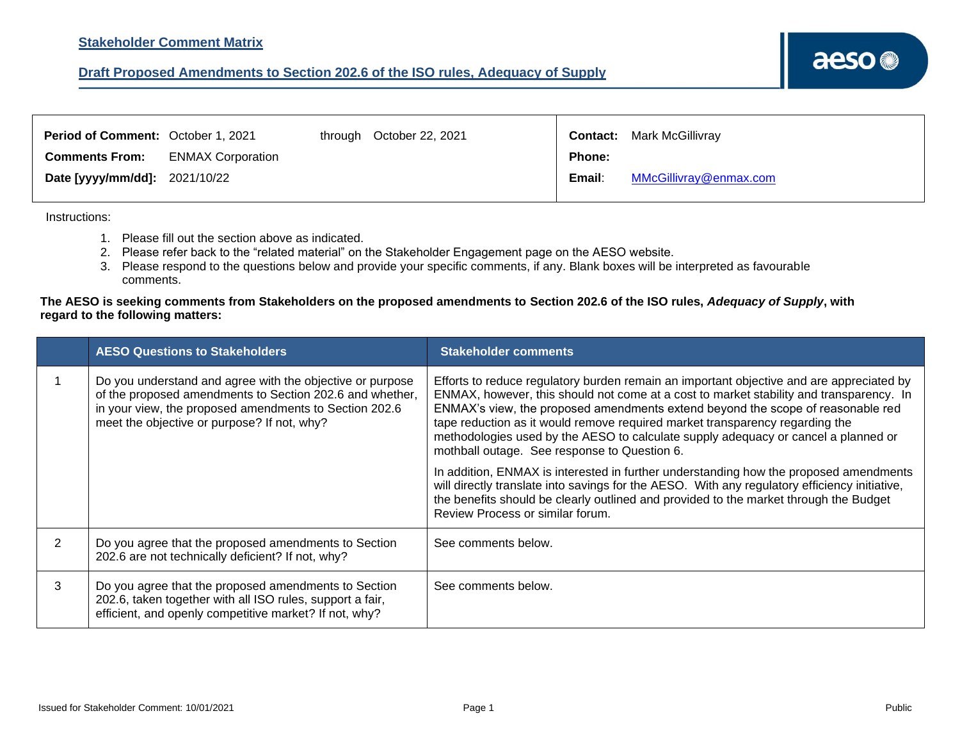

<span id="page-4-0"></span>

| Period of Comment: October 1, 2021 |                          | through October 22, 2021 |        | <b>Contact:</b> Mark McGillivray |
|------------------------------------|--------------------------|--------------------------|--------|----------------------------------|
| <b>Comments From:</b>              | <b>ENMAX Corporation</b> |                          | Phone: |                                  |
| Date [yyyy/mm/dd]: 2021/10/22      |                          |                          | Email: | MMcGillivray@enmax.com           |

Instructions:

- 1. Please fill out the section above as indicated.
- 2. Please refer back to the "related material" on the Stakeholder Engagement page on the AESO website.
- 3. Please respond to the questions below and provide your specific comments, if any. Blank boxes will be interpreted as favourable comments.

|   | <b>AESO Questions to Stakeholders</b>                                                                                                                                                                                          | <b>Stakeholder comments</b>                                                                                                                                                                                                                                                                                                                                                                                                                                                                  |
|---|--------------------------------------------------------------------------------------------------------------------------------------------------------------------------------------------------------------------------------|----------------------------------------------------------------------------------------------------------------------------------------------------------------------------------------------------------------------------------------------------------------------------------------------------------------------------------------------------------------------------------------------------------------------------------------------------------------------------------------------|
|   | Do you understand and agree with the objective or purpose<br>of the proposed amendments to Section 202.6 and whether,<br>in your view, the proposed amendments to Section 202.6<br>meet the objective or purpose? If not, why? | Efforts to reduce regulatory burden remain an important objective and are appreciated by<br>ENMAX, however, this should not come at a cost to market stability and transparency. In<br>ENMAX's view, the proposed amendments extend beyond the scope of reasonable red<br>tape reduction as it would remove required market transparency regarding the<br>methodologies used by the AESO to calculate supply adequacy or cancel a planned or<br>mothball outage. See response to Question 6. |
|   |                                                                                                                                                                                                                                | In addition, ENMAX is interested in further understanding how the proposed amendments<br>will directly translate into savings for the AESO. With any regulatory efficiency initiative,<br>the benefits should be clearly outlined and provided to the market through the Budget<br>Review Process or similar forum.                                                                                                                                                                          |
| 2 | Do you agree that the proposed amendments to Section<br>202.6 are not technically deficient? If not, why?                                                                                                                      | See comments below.                                                                                                                                                                                                                                                                                                                                                                                                                                                                          |
| 3 | Do you agree that the proposed amendments to Section<br>202.6, taken together with all ISO rules, support a fair,<br>efficient, and openly competitive market? If not, why?                                                    | See comments below.                                                                                                                                                                                                                                                                                                                                                                                                                                                                          |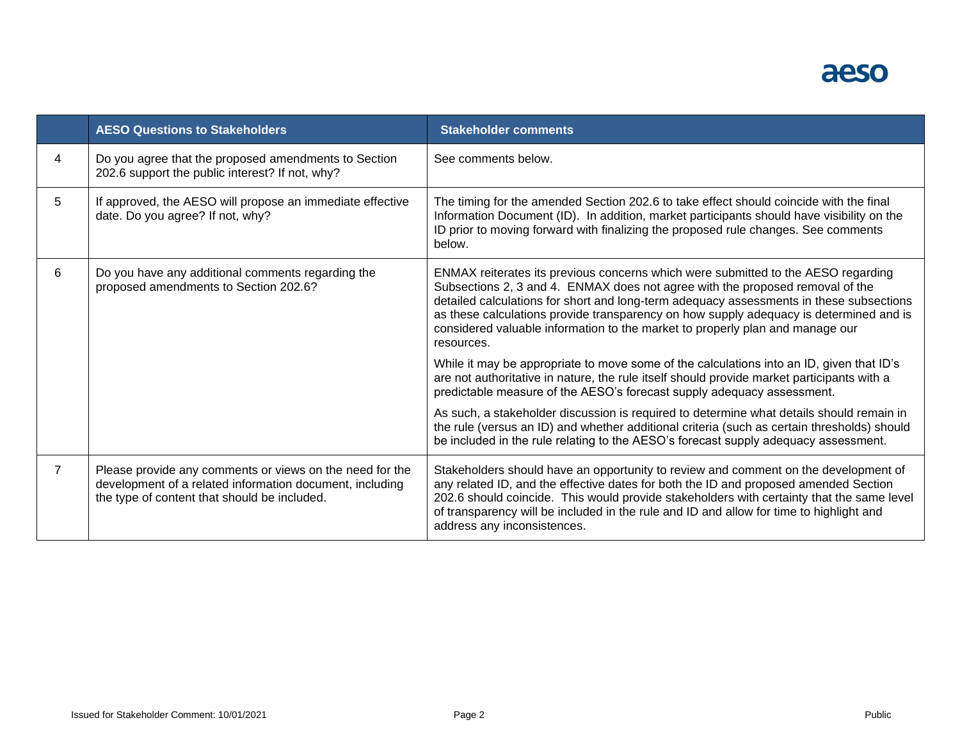

|                | <b>AESO Questions to Stakeholders</b>                                                                                                                                | <b>Stakeholder comments</b>                                                                                                                                                                                                                                                                                                                                                                                                                            |
|----------------|----------------------------------------------------------------------------------------------------------------------------------------------------------------------|--------------------------------------------------------------------------------------------------------------------------------------------------------------------------------------------------------------------------------------------------------------------------------------------------------------------------------------------------------------------------------------------------------------------------------------------------------|
| 4              | Do you agree that the proposed amendments to Section<br>202.6 support the public interest? If not, why?                                                              | See comments below.                                                                                                                                                                                                                                                                                                                                                                                                                                    |
| 5              | If approved, the AESO will propose an immediate effective<br>date. Do you agree? If not, why?                                                                        | The timing for the amended Section 202.6 to take effect should coincide with the final<br>Information Document (ID). In addition, market participants should have visibility on the<br>ID prior to moving forward with finalizing the proposed rule changes. See comments<br>below.                                                                                                                                                                    |
| 6              | Do you have any additional comments regarding the<br>proposed amendments to Section 202.6?                                                                           | ENMAX reiterates its previous concerns which were submitted to the AESO regarding<br>Subsections 2, 3 and 4. ENMAX does not agree with the proposed removal of the<br>detailed calculations for short and long-term adequacy assessments in these subsections<br>as these calculations provide transparency on how supply adequacy is determined and is<br>considered valuable information to the market to properly plan and manage our<br>resources. |
|                |                                                                                                                                                                      | While it may be appropriate to move some of the calculations into an ID, given that ID's<br>are not authoritative in nature, the rule itself should provide market participants with a<br>predictable measure of the AESO's forecast supply adequacy assessment.                                                                                                                                                                                       |
|                |                                                                                                                                                                      | As such, a stakeholder discussion is required to determine what details should remain in<br>the rule (versus an ID) and whether additional criteria (such as certain thresholds) should<br>be included in the rule relating to the AESO's forecast supply adequacy assessment.                                                                                                                                                                         |
| $\overline{7}$ | Please provide any comments or views on the need for the<br>development of a related information document, including<br>the type of content that should be included. | Stakeholders should have an opportunity to review and comment on the development of<br>any related ID, and the effective dates for both the ID and proposed amended Section<br>202.6 should coincide. This would provide stakeholders with certainty that the same level<br>of transparency will be included in the rule and ID and allow for time to highlight and<br>address any inconsistences.                                                     |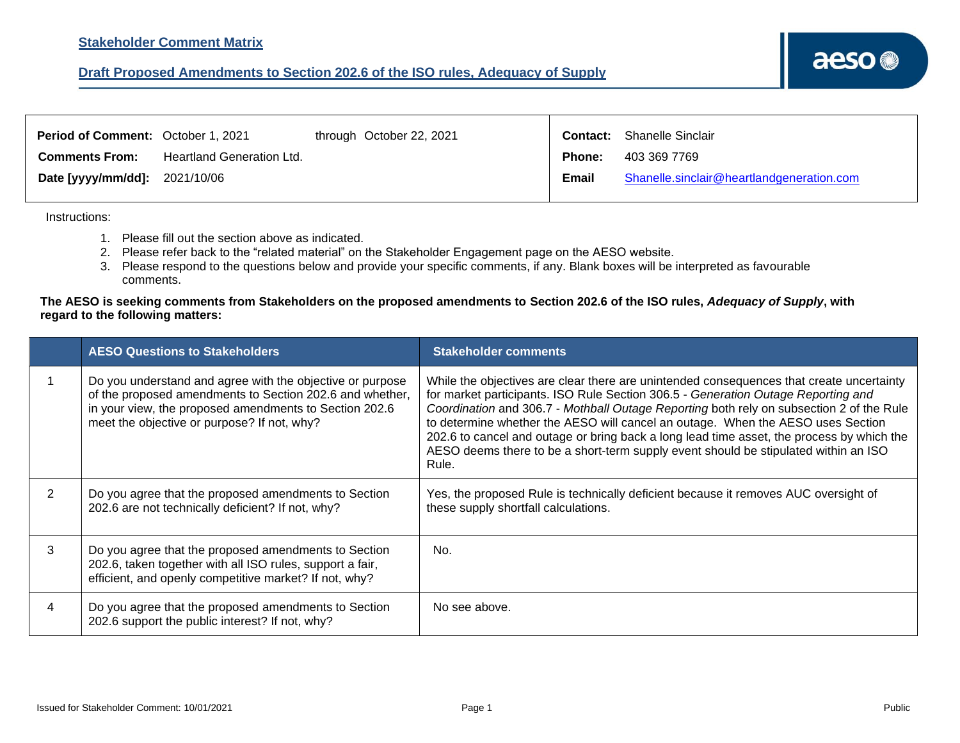<span id="page-6-0"></span>

| <b>Period of Comment: October 1, 2021</b> |                           | through October 22, 2021 |               | <b>Contact:</b> Shanelle Sinclair         |
|-------------------------------------------|---------------------------|--------------------------|---------------|-------------------------------------------|
| <b>Comments From:</b>                     | Heartland Generation Ltd. |                          | <b>Phone:</b> | 403 369 7769                              |
| <b>Date [yyyy/mm/dd]:</b> 2021/10/06      |                           |                          | Email         | Shanelle.sinclair@heartlandgeneration.com |

Instructions:

- 1. Please fill out the section above as indicated.
- 2. Please refer back to the "related material" on the Stakeholder Engagement page on the AESO website.
- 3. Please respond to the questions below and provide your specific comments, if any. Blank boxes will be interpreted as favourable comments.

|               | <b>AESO Questions to Stakeholders</b>                                                                                                                                                                                          | <b>Stakeholder comments</b>                                                                                                                                                                                                                                                                                                                                                                                                                                                                                                                               |
|---------------|--------------------------------------------------------------------------------------------------------------------------------------------------------------------------------------------------------------------------------|-----------------------------------------------------------------------------------------------------------------------------------------------------------------------------------------------------------------------------------------------------------------------------------------------------------------------------------------------------------------------------------------------------------------------------------------------------------------------------------------------------------------------------------------------------------|
|               | Do you understand and agree with the objective or purpose<br>of the proposed amendments to Section 202.6 and whether,<br>in your view, the proposed amendments to Section 202.6<br>meet the objective or purpose? If not, why? | While the objectives are clear there are unintended consequences that create uncertainty<br>for market participants. ISO Rule Section 306.5 - Generation Outage Reporting and<br>Coordination and 306.7 - Mothball Outage Reporting both rely on subsection 2 of the Rule<br>to determine whether the AESO will cancel an outage. When the AESO uses Section<br>202.6 to cancel and outage or bring back a long lead time asset, the process by which the<br>AESO deems there to be a short-term supply event should be stipulated within an ISO<br>Rule. |
| $\mathcal{P}$ | Do you agree that the proposed amendments to Section<br>202.6 are not technically deficient? If not, why?                                                                                                                      | Yes, the proposed Rule is technically deficient because it removes AUC oversight of<br>these supply shortfall calculations.                                                                                                                                                                                                                                                                                                                                                                                                                               |
| 3             | Do you agree that the proposed amendments to Section<br>202.6, taken together with all ISO rules, support a fair,<br>efficient, and openly competitive market? If not, why?                                                    | No.                                                                                                                                                                                                                                                                                                                                                                                                                                                                                                                                                       |
| 4             | Do you agree that the proposed amendments to Section<br>202.6 support the public interest? If not, why?                                                                                                                        | No see above.                                                                                                                                                                                                                                                                                                                                                                                                                                                                                                                                             |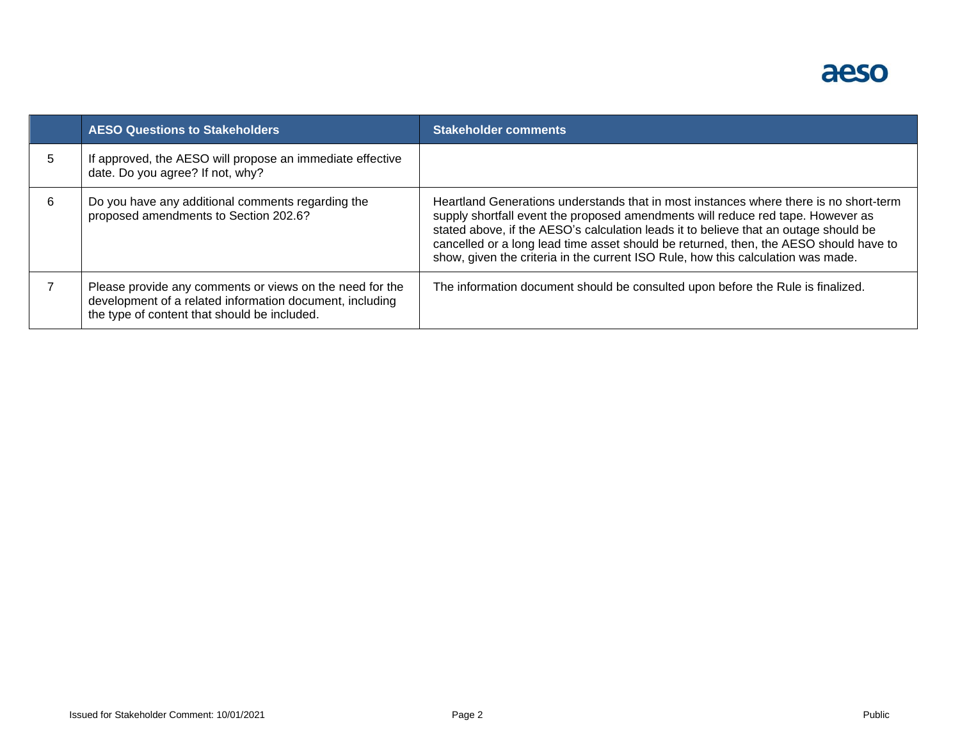

|   | <b>AESO Questions to Stakeholders</b>                                                                                                                                | <b>Stakeholder comments</b>                                                                                                                                                                                                                                                                                                                                                                                                                   |
|---|----------------------------------------------------------------------------------------------------------------------------------------------------------------------|-----------------------------------------------------------------------------------------------------------------------------------------------------------------------------------------------------------------------------------------------------------------------------------------------------------------------------------------------------------------------------------------------------------------------------------------------|
|   | If approved, the AESO will propose an immediate effective<br>date. Do you agree? If not, why?                                                                        |                                                                                                                                                                                                                                                                                                                                                                                                                                               |
| 6 | Do you have any additional comments regarding the<br>proposed amendments to Section 202.6?                                                                           | Heartland Generations understands that in most instances where there is no short-term<br>supply shortfall event the proposed amendments will reduce red tape. However as<br>stated above, if the AESO's calculation leads it to believe that an outage should be<br>cancelled or a long lead time asset should be returned, then, the AESO should have to<br>show, given the criteria in the current ISO Rule, how this calculation was made. |
|   | Please provide any comments or views on the need for the<br>development of a related information document, including<br>the type of content that should be included. | The information document should be consulted upon before the Rule is finalized.                                                                                                                                                                                                                                                                                                                                                               |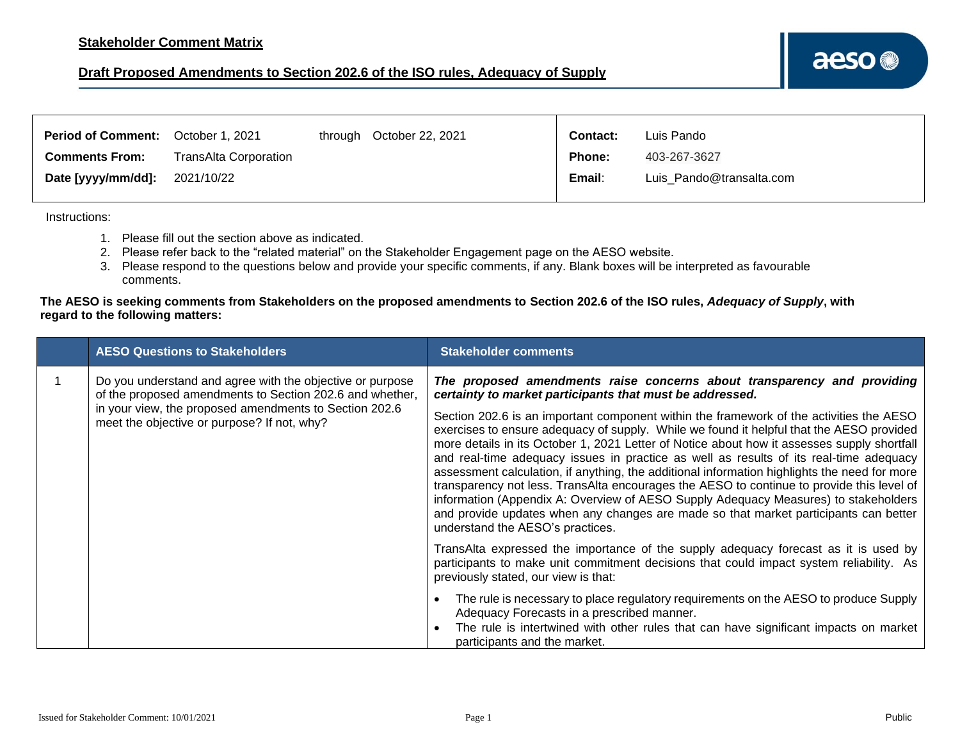<span id="page-8-0"></span>

| <b>Period of Comment:</b> | October 1, 2021       | through October 22, 2021 | <b>Contact:</b> | Luis Pando               |
|---------------------------|-----------------------|--------------------------|-----------------|--------------------------|
| <b>Comments From:</b>     | TransAlta Corporation |                          | <b>Phone:</b>   | 403-267-3627             |
| Date [yyyy/mm/dd]:        | 2021/10/22            |                          | Email:          | Luis Pando@transalta.com |

Instructions:

- 1. Please fill out the section above as indicated.
- 2. Please refer back to the "related material" on the Stakeholder Engagement page on the AESO website.
- 3. Please respond to the questions below and provide your specific comments, if any. Blank boxes will be interpreted as favourable comments.

|  | <b>AESO Questions to Stakeholders</b>                                                                                 | <b>Stakeholder comments</b>                                                                                                                                                                                                                                                                                                                                                                                                                                                                                                                                                                                                                                                                                                                                                                  |
|--|-----------------------------------------------------------------------------------------------------------------------|----------------------------------------------------------------------------------------------------------------------------------------------------------------------------------------------------------------------------------------------------------------------------------------------------------------------------------------------------------------------------------------------------------------------------------------------------------------------------------------------------------------------------------------------------------------------------------------------------------------------------------------------------------------------------------------------------------------------------------------------------------------------------------------------|
|  | Do you understand and agree with the objective or purpose<br>of the proposed amendments to Section 202.6 and whether, | The proposed amendments raise concerns about transparency and providing<br>certainty to market participants that must be addressed.                                                                                                                                                                                                                                                                                                                                                                                                                                                                                                                                                                                                                                                          |
|  | in your view, the proposed amendments to Section 202.6<br>meet the objective or purpose? If not, why?                 | Section 202.6 is an important component within the framework of the activities the AESO<br>exercises to ensure adequacy of supply. While we found it helpful that the AESO provided<br>more details in its October 1, 2021 Letter of Notice about how it assesses supply shortfall<br>and real-time adequacy issues in practice as well as results of its real-time adequacy<br>assessment calculation, if anything, the additional information highlights the need for more<br>transparency not less. TransAlta encourages the AESO to continue to provide this level of<br>information (Appendix A: Overview of AESO Supply Adequacy Measures) to stakeholders<br>and provide updates when any changes are made so that market participants can better<br>understand the AESO's practices. |
|  |                                                                                                                       | TransAlta expressed the importance of the supply adequacy forecast as it is used by<br>participants to make unit commitment decisions that could impact system reliability. As<br>previously stated, our view is that:                                                                                                                                                                                                                                                                                                                                                                                                                                                                                                                                                                       |
|  |                                                                                                                       | The rule is necessary to place regulatory requirements on the AESO to produce Supply<br>Adequacy Forecasts in a prescribed manner.<br>The rule is intertwined with other rules that can have significant impacts on market<br>participants and the market.                                                                                                                                                                                                                                                                                                                                                                                                                                                                                                                                   |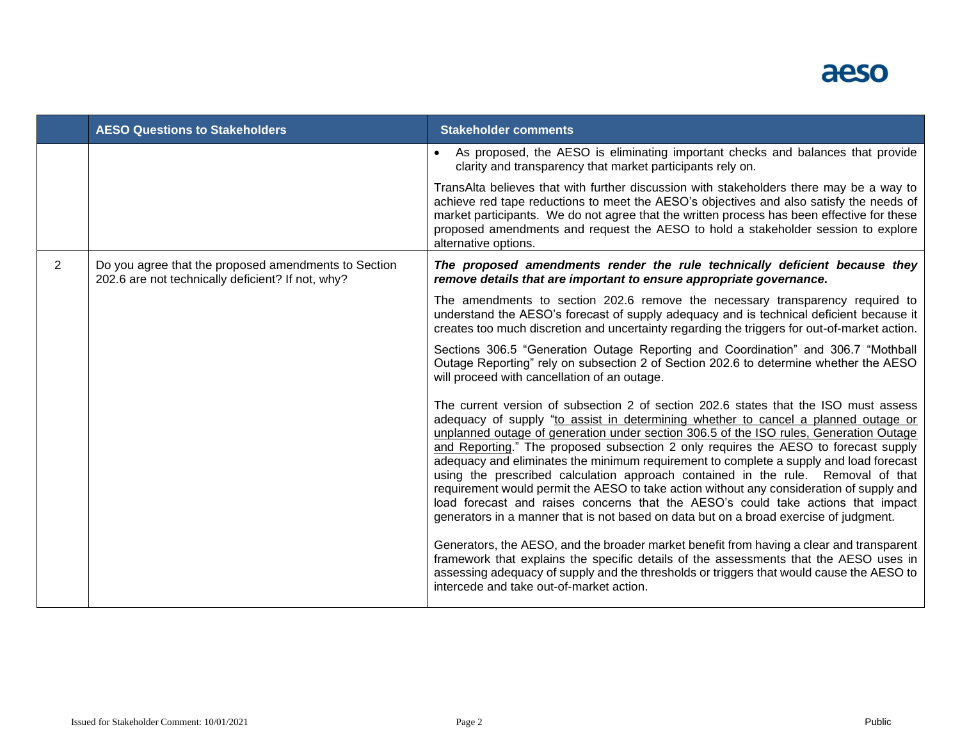

|                | <b>AESO Questions to Stakeholders</b>                                                                     | <b>Stakeholder comments</b>                                                                                                                                                                                                                                                                                                                                                                                                                                                                                                                                                                                                                                                                                                                                                                                        |
|----------------|-----------------------------------------------------------------------------------------------------------|--------------------------------------------------------------------------------------------------------------------------------------------------------------------------------------------------------------------------------------------------------------------------------------------------------------------------------------------------------------------------------------------------------------------------------------------------------------------------------------------------------------------------------------------------------------------------------------------------------------------------------------------------------------------------------------------------------------------------------------------------------------------------------------------------------------------|
|                |                                                                                                           | As proposed, the AESO is eliminating important checks and balances that provide<br>clarity and transparency that market participants rely on.                                                                                                                                                                                                                                                                                                                                                                                                                                                                                                                                                                                                                                                                      |
|                |                                                                                                           | TransAlta believes that with further discussion with stakeholders there may be a way to<br>achieve red tape reductions to meet the AESO's objectives and also satisfy the needs of<br>market participants. We do not agree that the written process has been effective for these<br>proposed amendments and request the AESO to hold a stakeholder session to explore<br>alternative options.                                                                                                                                                                                                                                                                                                                                                                                                                      |
| $\overline{2}$ | Do you agree that the proposed amendments to Section<br>202.6 are not technically deficient? If not, why? | The proposed amendments render the rule technically deficient because they<br>remove details that are important to ensure appropriate governance.                                                                                                                                                                                                                                                                                                                                                                                                                                                                                                                                                                                                                                                                  |
|                |                                                                                                           | The amendments to section 202.6 remove the necessary transparency required to<br>understand the AESO's forecast of supply adequacy and is technical deficient because it<br>creates too much discretion and uncertainty regarding the triggers for out-of-market action.                                                                                                                                                                                                                                                                                                                                                                                                                                                                                                                                           |
|                |                                                                                                           | Sections 306.5 "Generation Outage Reporting and Coordination" and 306.7 "Mothball<br>Outage Reporting" rely on subsection 2 of Section 202.6 to determine whether the AESO<br>will proceed with cancellation of an outage.                                                                                                                                                                                                                                                                                                                                                                                                                                                                                                                                                                                         |
|                |                                                                                                           | The current version of subsection 2 of section 202.6 states that the ISO must assess<br>adequacy of supply "to assist in determining whether to cancel a planned outage or<br>unplanned outage of generation under section 306.5 of the ISO rules, Generation Outage<br>and Reporting." The proposed subsection 2 only requires the AESO to forecast supply<br>adequacy and eliminates the minimum requirement to complete a supply and load forecast<br>using the prescribed calculation approach contained in the rule. Removal of that<br>requirement would permit the AESO to take action without any consideration of supply and<br>load forecast and raises concerns that the AESO's could take actions that impact<br>generators in a manner that is not based on data but on a broad exercise of judgment. |
|                |                                                                                                           | Generators, the AESO, and the broader market benefit from having a clear and transparent<br>framework that explains the specific details of the assessments that the AESO uses in<br>assessing adequacy of supply and the thresholds or triggers that would cause the AESO to<br>intercede and take out-of-market action.                                                                                                                                                                                                                                                                                                                                                                                                                                                                                          |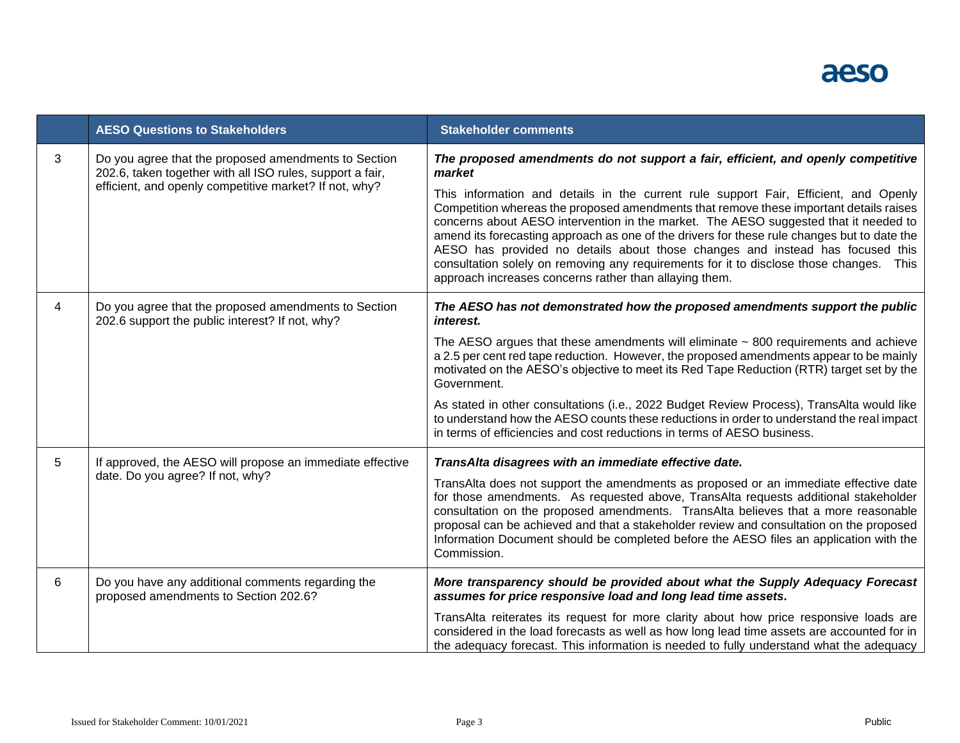

|   | <b>AESO Questions to Stakeholders</b>                                                                                                                                       | <b>Stakeholder comments</b>                                                                                                                                                                                                                                                                                                                                                                                                                                                                                                                                                                                                                                                                               |
|---|-----------------------------------------------------------------------------------------------------------------------------------------------------------------------------|-----------------------------------------------------------------------------------------------------------------------------------------------------------------------------------------------------------------------------------------------------------------------------------------------------------------------------------------------------------------------------------------------------------------------------------------------------------------------------------------------------------------------------------------------------------------------------------------------------------------------------------------------------------------------------------------------------------|
| 3 | Do you agree that the proposed amendments to Section<br>202.6, taken together with all ISO rules, support a fair,<br>efficient, and openly competitive market? If not, why? | The proposed amendments do not support a fair, efficient, and openly competitive<br>market<br>This information and details in the current rule support Fair, Efficient, and Openly<br>Competition whereas the proposed amendments that remove these important details raises<br>concerns about AESO intervention in the market. The AESO suggested that it needed to<br>amend its forecasting approach as one of the drivers for these rule changes but to date the<br>AESO has provided no details about those changes and instead has focused this<br>consultation solely on removing any requirements for it to disclose those changes. This<br>approach increases concerns rather than allaying them. |
| 4 | Do you agree that the proposed amendments to Section<br>202.6 support the public interest? If not, why?                                                                     | The AESO has not demonstrated how the proposed amendments support the public<br>interest.<br>The AESO argues that these amendments will eliminate $\sim$ 800 requirements and achieve<br>a 2.5 per cent red tape reduction. However, the proposed amendments appear to be mainly<br>motivated on the AESO's objective to meet its Red Tape Reduction (RTR) target set by the<br>Government.<br>As stated in other consultations (i.e., 2022 Budget Review Process), TransAlta would like<br>to understand how the AESO counts these reductions in order to understand the real impact<br>in terms of efficiencies and cost reductions in terms of AESO business.                                          |
| 5 | If approved, the AESO will propose an immediate effective<br>date. Do you agree? If not, why?                                                                               | TransAlta disagrees with an immediate effective date.<br>TransAlta does not support the amendments as proposed or an immediate effective date<br>for those amendments. As requested above, TransAlta requests additional stakeholder<br>consultation on the proposed amendments. TransAlta believes that a more reasonable<br>proposal can be achieved and that a stakeholder review and consultation on the proposed<br>Information Document should be completed before the AESO files an application with the<br>Commission.                                                                                                                                                                            |
| 6 | Do you have any additional comments regarding the<br>proposed amendments to Section 202.6?                                                                                  | More transparency should be provided about what the Supply Adequacy Forecast<br>assumes for price responsive load and long lead time assets.<br>TransAlta reiterates its request for more clarity about how price responsive loads are<br>considered in the load forecasts as well as how long lead time assets are accounted for in<br>the adequacy forecast. This information is needed to fully understand what the adequacy                                                                                                                                                                                                                                                                           |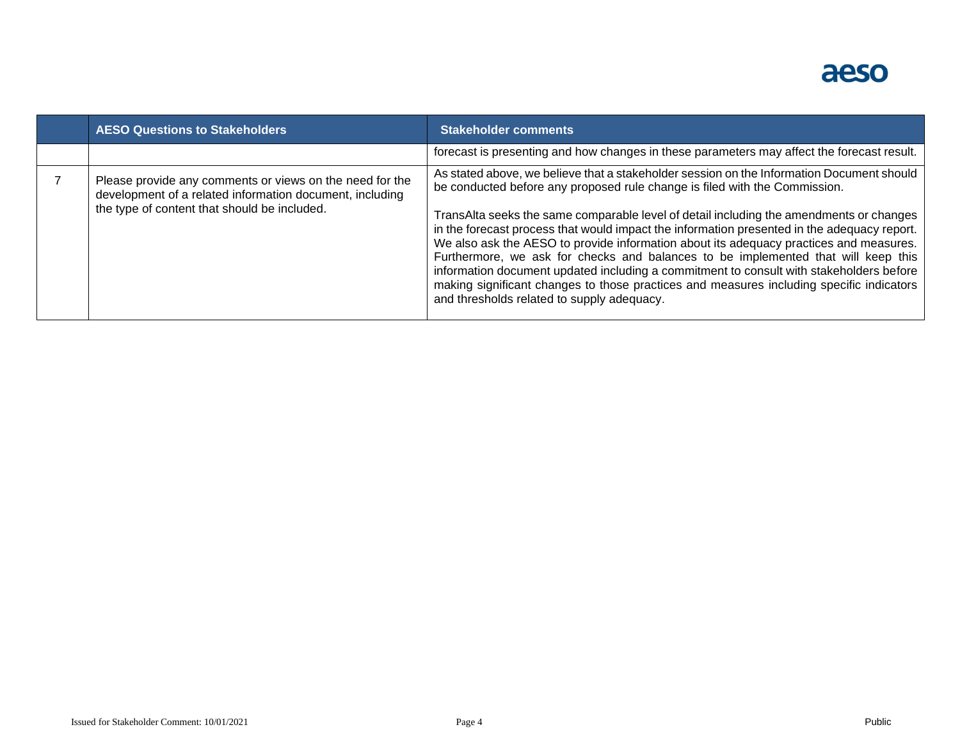# aeso

| <b>AESO Questions to Stakeholders</b>                                                                                                                                | <b>Stakeholder comments</b>                                                                                                                                                                                                                                                                                                                                                                                                                                                                                                                                                                                                                                                                                                                                                           |
|----------------------------------------------------------------------------------------------------------------------------------------------------------------------|---------------------------------------------------------------------------------------------------------------------------------------------------------------------------------------------------------------------------------------------------------------------------------------------------------------------------------------------------------------------------------------------------------------------------------------------------------------------------------------------------------------------------------------------------------------------------------------------------------------------------------------------------------------------------------------------------------------------------------------------------------------------------------------|
|                                                                                                                                                                      | forecast is presenting and how changes in these parameters may affect the forecast result.                                                                                                                                                                                                                                                                                                                                                                                                                                                                                                                                                                                                                                                                                            |
| Please provide any comments or views on the need for the<br>development of a related information document, including<br>the type of content that should be included. | As stated above, we believe that a stakeholder session on the Information Document should<br>be conducted before any proposed rule change is filed with the Commission.<br>TransAlta seeks the same comparable level of detail including the amendments or changes<br>in the forecast process that would impact the information presented in the adequacy report.<br>We also ask the AESO to provide information about its adequacy practices and measures.<br>Furthermore, we ask for checks and balances to be implemented that will keep this<br>information document updated including a commitment to consult with stakeholders before<br>making significant changes to those practices and measures including specific indicators<br>and thresholds related to supply adequacy. |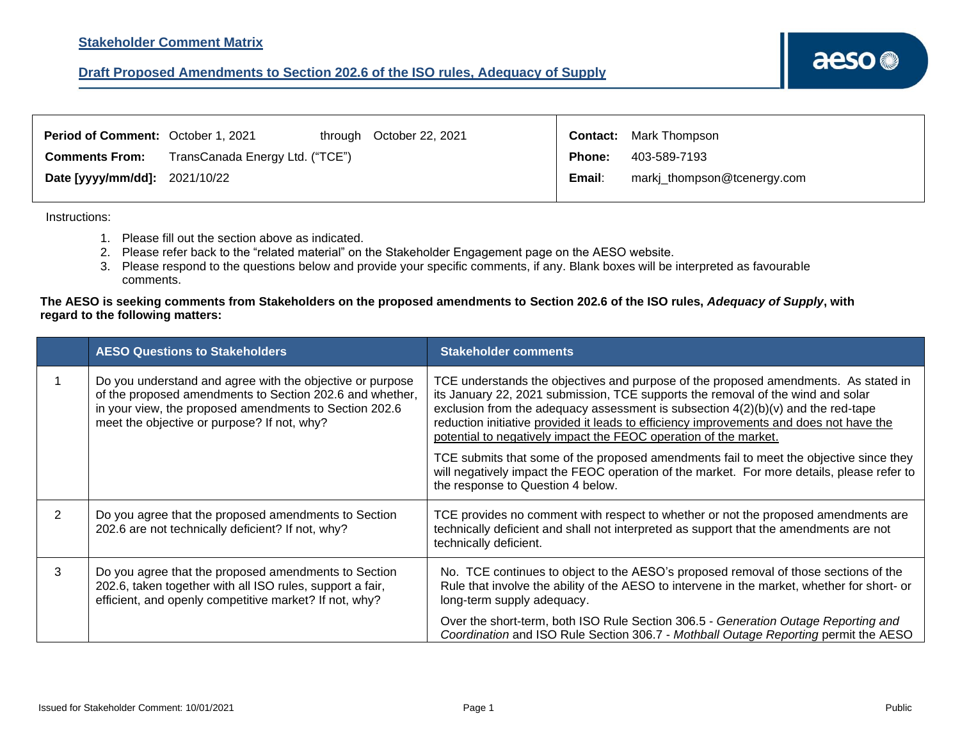<span id="page-12-0"></span>

| Period of Comment: October 1, 2021   |                                 | through October 22, 2021 |               | <b>Contact:</b> Mark Thompson |
|--------------------------------------|---------------------------------|--------------------------|---------------|-------------------------------|
| <b>Comments From:</b>                | TransCanada Energy Ltd. ("TCE") |                          | <b>Phone:</b> | 403-589-7193                  |
| <b>Date [yyyy/mm/dd]:</b> 2021/10/22 |                                 |                          | Email:        | markj_thompson@tcenergy.com   |

Instructions:

- 1. Please fill out the section above as indicated.
- 2. Please refer back to the "related material" on the Stakeholder Engagement page on the AESO website.
- 3. Please respond to the questions below and provide your specific comments, if any. Blank boxes will be interpreted as favourable comments.

|               | <b>AESO Questions to Stakeholders</b>                                                                                                                                                                                          | <b>Stakeholder comments</b>                                                                                                                                                                                                                                                                                                                                                                                                                                                                                                                                                                                                                              |
|---------------|--------------------------------------------------------------------------------------------------------------------------------------------------------------------------------------------------------------------------------|----------------------------------------------------------------------------------------------------------------------------------------------------------------------------------------------------------------------------------------------------------------------------------------------------------------------------------------------------------------------------------------------------------------------------------------------------------------------------------------------------------------------------------------------------------------------------------------------------------------------------------------------------------|
|               | Do you understand and agree with the objective or purpose<br>of the proposed amendments to Section 202.6 and whether,<br>in your view, the proposed amendments to Section 202.6<br>meet the objective or purpose? If not, why? | TCE understands the objectives and purpose of the proposed amendments. As stated in<br>its January 22, 2021 submission, TCE supports the removal of the wind and solar<br>exclusion from the adequacy assessment is subsection $4(2)(b)(v)$ and the red-tape<br>reduction initiative provided it leads to efficiency improvements and does not have the<br>potential to negatively impact the FEOC operation of the market.<br>TCE submits that some of the proposed amendments fail to meet the objective since they<br>will negatively impact the FEOC operation of the market. For more details, please refer to<br>the response to Question 4 below. |
| $\mathcal{P}$ | Do you agree that the proposed amendments to Section<br>202.6 are not technically deficient? If not, why?                                                                                                                      | TCE provides no comment with respect to whether or not the proposed amendments are<br>technically deficient and shall not interpreted as support that the amendments are not<br>technically deficient.                                                                                                                                                                                                                                                                                                                                                                                                                                                   |
| 3             | Do you agree that the proposed amendments to Section<br>202.6, taken together with all ISO rules, support a fair,<br>efficient, and openly competitive market? If not, why?                                                    | No. TCE continues to object to the AESO's proposed removal of those sections of the<br>Rule that involve the ability of the AESO to intervene in the market, whether for short- or<br>long-term supply adequacy.                                                                                                                                                                                                                                                                                                                                                                                                                                         |
|               |                                                                                                                                                                                                                                | Over the short-term, both ISO Rule Section 306.5 - Generation Outage Reporting and<br>Coordination and ISO Rule Section 306.7 - Mothball Outage Reporting permit the AESO                                                                                                                                                                                                                                                                                                                                                                                                                                                                                |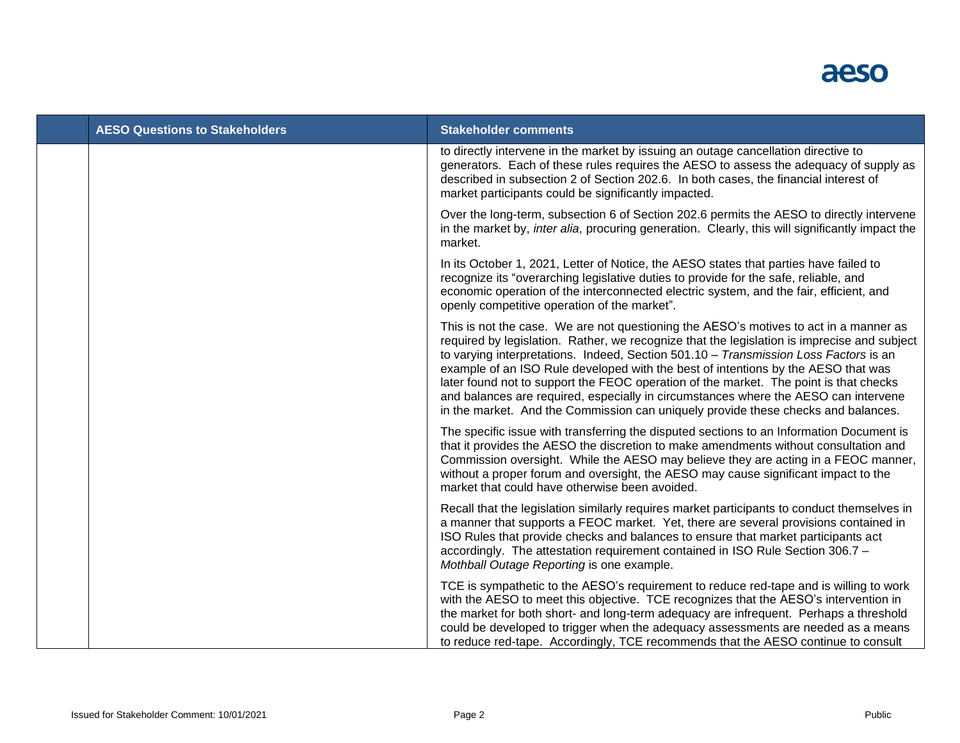

| <b>AESO Questions to Stakeholders</b> | <b>Stakeholder comments</b>                                                                                                                                                                                                                                                                                                                                                                                                                                                                                                                                                                                                            |
|---------------------------------------|----------------------------------------------------------------------------------------------------------------------------------------------------------------------------------------------------------------------------------------------------------------------------------------------------------------------------------------------------------------------------------------------------------------------------------------------------------------------------------------------------------------------------------------------------------------------------------------------------------------------------------------|
|                                       | to directly intervene in the market by issuing an outage cancellation directive to<br>generators. Each of these rules requires the AESO to assess the adequacy of supply as<br>described in subsection 2 of Section 202.6. In both cases, the financial interest of<br>market participants could be significantly impacted.                                                                                                                                                                                                                                                                                                            |
|                                       | Over the long-term, subsection 6 of Section 202.6 permits the AESO to directly intervene<br>in the market by, <i>inter alia</i> , procuring generation. Clearly, this will significantly impact the<br>market.                                                                                                                                                                                                                                                                                                                                                                                                                         |
|                                       | In its October 1, 2021, Letter of Notice, the AESO states that parties have failed to<br>recognize its "overarching legislative duties to provide for the safe, reliable, and<br>economic operation of the interconnected electric system, and the fair, efficient, and<br>openly competitive operation of the market".                                                                                                                                                                                                                                                                                                                |
|                                       | This is not the case. We are not questioning the AESO's motives to act in a manner as<br>required by legislation. Rather, we recognize that the legislation is imprecise and subject<br>to varying interpretations. Indeed, Section 501.10 - Transmission Loss Factors is an<br>example of an ISO Rule developed with the best of intentions by the AESO that was<br>later found not to support the FEOC operation of the market. The point is that checks<br>and balances are required, especially in circumstances where the AESO can intervene<br>in the market. And the Commission can uniquely provide these checks and balances. |
|                                       | The specific issue with transferring the disputed sections to an Information Document is<br>that it provides the AESO the discretion to make amendments without consultation and<br>Commission oversight. While the AESO may believe they are acting in a FEOC manner,<br>without a proper forum and oversight, the AESO may cause significant impact to the<br>market that could have otherwise been avoided.                                                                                                                                                                                                                         |
|                                       | Recall that the legislation similarly requires market participants to conduct themselves in<br>a manner that supports a FEOC market. Yet, there are several provisions contained in<br>ISO Rules that provide checks and balances to ensure that market participants act<br>accordingly. The attestation requirement contained in ISO Rule Section 306.7 -<br>Mothball Outage Reporting is one example.                                                                                                                                                                                                                                |
|                                       | TCE is sympathetic to the AESO's requirement to reduce red-tape and is willing to work<br>with the AESO to meet this objective. TCE recognizes that the AESO's intervention in<br>the market for both short- and long-term adequacy are infrequent. Perhaps a threshold<br>could be developed to trigger when the adequacy assessments are needed as a means<br>to reduce red-tape. Accordingly, TCE recommends that the AESO continue to consult                                                                                                                                                                                      |